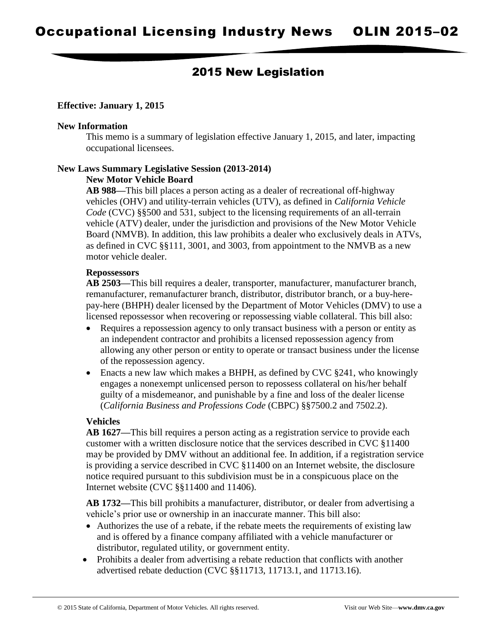# 2015 New Legislation

### **Effective: January 1, 2015**

#### **New Information**

This memo is a summary of legislation effective January 1, 2015, and later, impacting occupational licensees.

#### **New Laws Summary Legislative Session (2013-2014) New Motor Vehicle Board**

**AB 988—**This bill places a person acting as a dealer of recreational off-highway vehicles (OHV) and utility-terrain vehicles (UTV), as defined in *California Vehicle Code* (CVC) §§500 and 531, subject to the licensing requirements of an all-terrain vehicle (ATV) dealer, under the jurisdiction and provisions of the New Motor Vehicle Board (NMVB). In addition, this law prohibits a dealer who exclusively deals in ATVs, as defined in CVC §§111, 3001, and 3003, from appointment to the NMVB as a new motor vehicle dealer.

### **Repossessors**

**AB 2503—**This bill requires a dealer, transporter, manufacturer, manufacturer branch, remanufacturer, remanufacturer branch, distributor, distributor branch, or a buy-herepay-here (BHPH) dealer licensed by the Department of Motor Vehicles (DMV) to use a licensed repossessor when recovering or repossessing viable collateral. This bill also:

- Requires a repossession agency to only transact business with a person or entity as an independent contractor and prohibits a licensed repossession agency from allowing any other person or entity to operate or transact business under the license of the repossession agency.
- Enacts a new law which makes a BHPH, as defined by CVC §241, who knowingly engages a nonexempt unlicensed person to repossess collateral on his/her behalf guilty of a misdemeanor, and punishable by a fine and loss of the dealer license (*California Business and Professions Code* (CBPC) §§7500.2 and 7502.2).

### **Vehicles**

**AB 1627—**This bill requires a person acting as a registration service to provide each customer with a written disclosure notice that the services described in CVC §11400 may be provided by DMV without an additional fee. In addition, if a registration service is providing a service described in CVC §11400 on an Internet website, the disclosure notice required pursuant to this subdivision must be in a conspicuous place on the Internet website (CVC §§11400 and 11406).

**AB 1732—**This bill prohibits a manufacturer, distributor, or dealer from advertising a vehicle's prior use or ownership in an inaccurate manner. This bill also:

- Authorizes the use of a rebate, if the rebate meets the requirements of existing law and is offered by a finance company affiliated with a vehicle manufacturer or distributor, regulated utility, or government entity.
- Prohibits a dealer from advertising a rebate reduction that conflicts with another advertised rebate deduction (CVC §§11713, 11713.1, and 11713.16).